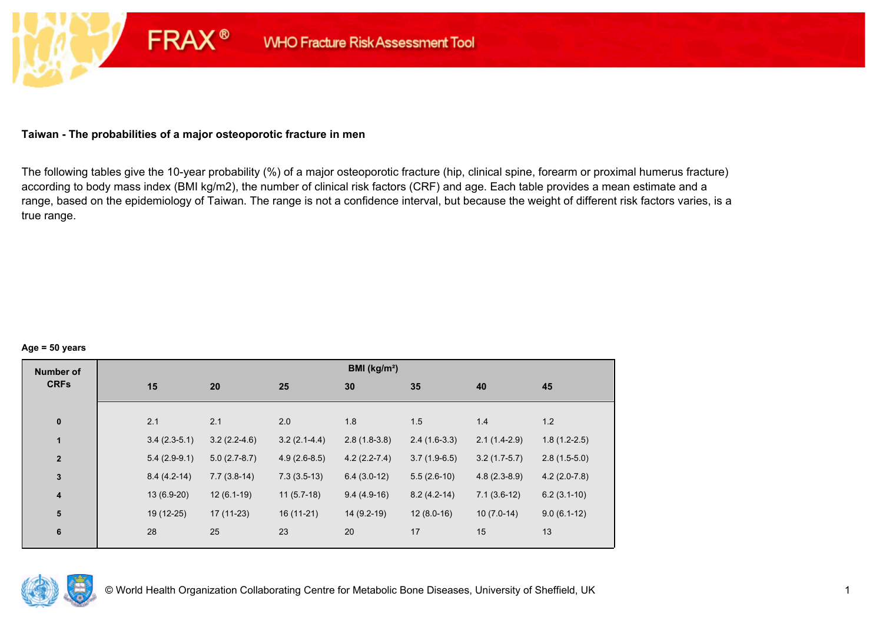### **Taiwan - The probabilities of a major osteoporotic fracture in men**

**FRAX®** 

The following tables give the 10-year probability (%) of a major osteoporotic fracture (hip, clinical spine, forearm or proximal humerus fracture) according to body mass index (BMI kg/m2), the number of clinical risk factors (CRF) and age. Each table provides a mean estimate and a range, based on the epidemiology of Taiwan. The range is not a confidence interval, but because the weight of different risk factors varies, is a true range.

#### **Age = 50 years**

| <b>Number of</b> |     |                |                |                | BMI (kg/m <sup>2</sup> ) |                |                |                |
|------------------|-----|----------------|----------------|----------------|--------------------------|----------------|----------------|----------------|
| <b>CRFs</b>      | 15  | 20             |                | 25             | 30                       | 35             | 40             | 45             |
|                  |     |                |                |                |                          |                |                |                |
| $\pmb{0}$        | 2.1 | 2.1            |                | 2.0            | 1.8                      | 1.5            | 1.4            | 1.2            |
| 1                |     | $3.4(2.3-5.1)$ | $3.2(2.2-4.6)$ | $3.2(2.1-4.4)$ | $2.8(1.8-3.8)$           | $2.4(1.6-3.3)$ | $2.1(1.4-2.9)$ | $1.8(1.2-2.5)$ |
| $\mathbf{2}$     |     | $5.4(2.9-9.1)$ | $5.0(2.7-8.7)$ | $4.9(2.6-8.5)$ | $4.2(2.2 - 7.4)$         | $3.7(1.9-6.5)$ | $3.2(1.7-5.7)$ | $2.8(1.5-5.0)$ |
| $\mathbf{3}$     |     | $8.4(4.2-14)$  | $7.7(3.8-14)$  | $7.3(3.5-13)$  | $6.4(3.0-12)$            | $5.5(2.6-10)$  | $4.8(2.3-8.9)$ | $4.2(2.0-7.8)$ |
| $\boldsymbol{4}$ |     | 13 (6.9-20)    | $12(6.1-19)$   | $11(5.7-18)$   | $9.4(4.9-16)$            | $8.2(4.2-14)$  | $7.1(3.6-12)$  | $6.2(3.1-10)$  |
| 5                |     | 19 (12-25)     | $17(11-23)$    | $16(11-21)$    | $14(9.2-19)$             | $12(8.0-16)$   | $10(7.0-14)$   | $9.0(6.1-12)$  |
| $\bf 6$          | 28  | 25             |                | 23             | 20                       | 17             | 15             | 13             |
|                  |     |                |                |                |                          |                |                |                |

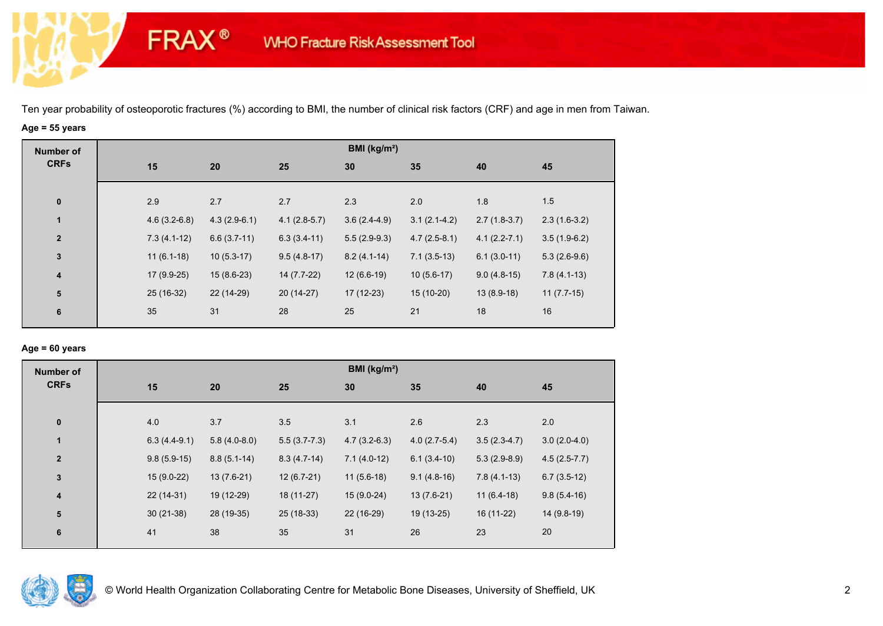# **Age = 55 years**

**FRAX®** 

| <b>Number of</b> |                |                |                | BMI ( $kg/m2$ ) |                |                  |                |
|------------------|----------------|----------------|----------------|-----------------|----------------|------------------|----------------|
| <b>CRFs</b>      | 15             | 20             | 25             | 30              | 35             | 40               | 45             |
|                  |                |                |                |                 |                |                  |                |
| $\bf{0}$         | 2.9            | 2.7            | 2.7            | 2.3             | 2.0            | 1.8              | 1.5            |
| $\mathbf{1}$     | $4.6(3.2-6.8)$ | $4.3(2.9-6.1)$ | $4.1(2.8-5.7)$ | $3.6(2.4-4.9)$  | $3.1(2.1-4.2)$ | $2.7(1.8-3.7)$   | $2.3(1.6-3.2)$ |
| $\overline{2}$   | $7.3(4.1-12)$  | $6.6(3.7-11)$  | $6.3(3.4-11)$  | $5.5(2.9-9.3)$  | $4.7(2.5-8.1)$ | $4.1(2.2 - 7.1)$ | $3.5(1.9-6.2)$ |
| $\mathbf 3$      | $11(6.1-18)$   | $10(5.3-17)$   | $9.5(4.8-17)$  | $8.2(4.1-14)$   | $7.1(3.5-13)$  | $6.1(3.0-11)$    | $5.3(2.6-9.6)$ |
| 4                | $17(9.9-25)$   | $15(8.6-23)$   | 14 (7.7-22)    | $12(6.6-19)$    | $10(5.6-17)$   | $9.0(4.8-15)$    | $7.8(4.1-13)$  |
| ${\bf 5}$        | 25 (16-32)     | 22 (14-29)     | $20(14-27)$    | $17(12-23)$     | 15 (10-20)     | $13(8.9-18)$     | $11(7.7-15)$   |
| 6                | 35             | 31             | 28             | 25              | 21             | 18               | 16             |
|                  |                |                |                |                 |                |                  |                |

### **Age = 60 years**

| <b>Number of</b>        |                |                |                | BMI ( $kg/m2$ ) |                |                |                |
|-------------------------|----------------|----------------|----------------|-----------------|----------------|----------------|----------------|
| <b>CRFs</b>             | 15             | 20             | 25             | 30              | 35             | 40             | 45             |
|                         |                |                |                |                 |                |                |                |
| $\bf{0}$                | 4.0            | 3.7            | 3.5            | 3.1             | 2.6            | 2.3            | 2.0            |
| $\mathbf{1}$            | $6.3(4.4-9.1)$ | $5.8(4.0-8.0)$ | $5.5(3.7-7.3)$ | $4.7(3.2-6.3)$  | $4.0(2.7-5.4)$ | $3.5(2.3-4.7)$ | $3.0(2.0-4.0)$ |
| $\overline{2}$          | $9.8(5.9-15)$  | $8.8(5.1-14)$  | $8.3(4.7-14)$  | $7.1(4.0-12)$   | $6.1(3.4-10)$  | $5.3(2.9-8.9)$ | $4.5(2.5-7.7)$ |
| $\mathbf{3}$            | $15(9.0-22)$   | $13(7.6-21)$   | $12(6.7-21)$   | $11(5.6-18)$    | $9.1(4.8-16)$  | $7.8(4.1-13)$  | $6.7(3.5-12)$  |
| $\overline{\mathbf{4}}$ | $22(14-31)$    | 19 (12-29)     | 18 (11-27)     | $15(9.0-24)$    | $13(7.6-21)$   | $11(6.4-18)$   | $9.8(5.4-16)$  |
| 5                       | $30(21-38)$    | 28 (19-35)     | $25(18-33)$    | 22 (16-29)      | 19 (13-25)     | 16 (11-22)     | 14 (9.8-19)    |
| 6                       | 41             | 38             | 35             | 31              | 26             | 23             | 20             |
|                         |                |                |                |                 |                |                |                |

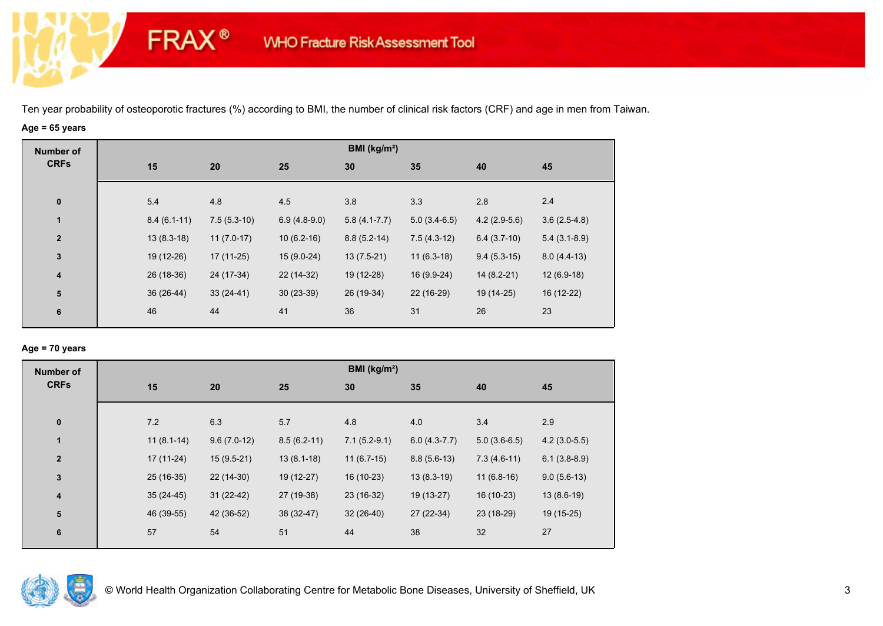# **Age = 65 years**

**FRAX®** 

| <b>Number of</b> |               |               |                | BMI ( $kg/m2$ )  |                |                |                |
|------------------|---------------|---------------|----------------|------------------|----------------|----------------|----------------|
| <b>CRFs</b>      | 15            | 20            | 25             | 30               | 35             | 40             | 45             |
|                  |               |               |                |                  |                |                |                |
| $\bf{0}$         | 5.4           | 4.8           | 4.5            | 3.8              | 3.3            | 2.8            | 2.4            |
| $\mathbf{1}$     | $8.4(6.1-11)$ | $7.5(5.3-10)$ | $6.9(4.8-9.0)$ | $5.8(4.1 - 7.7)$ | $5.0(3.4-6.5)$ | $4.2(2.9-5.6)$ | $3.6(2.5-4.8)$ |
| $\overline{2}$   | $13(8.3-18)$  | $11(7.0-17)$  | $10(6.2-16)$   | $8.8(5.2-14)$    | $7.5(4.3-12)$  | $6.4(3.7-10)$  | $5.4(3.1-8.9)$ |
| $\mathbf 3$      | 19 (12-26)    | $17(11-25)$   | $15(9.0-24)$   | $13(7.5-21)$     | $11(6.3-18)$   | $9.4(5.3-15)$  | $8.0(4.4-13)$  |
| 4                | 26 (18-36)    | 24 (17-34)    | 22 (14-32)     | 19 (12-28)       | 16 (9.9-24)    | $14(8.2-21)$   | $12(6.9-18)$   |
| ${\bf 5}$        | 36 (26-44)    | $33(24-41)$   | $30(23-39)$    | 26 (19-34)       | 22 (16-29)     | 19 (14-25)     | 16 (12-22)     |
| 6                | 46            | 44            | 41             | 36               | 31             | 26             | 23             |
|                  |               |               |                |                  |                |                |                |

### **Age = 70 years**

| <b>Number of</b> |              |               |               | BMI ( $kg/m2$ ) |                |                |                |
|------------------|--------------|---------------|---------------|-----------------|----------------|----------------|----------------|
| <b>CRFs</b>      | 15           | 20            | 25            | 30              | 35             | 40             | 45             |
|                  |              |               |               |                 |                |                |                |
| $\pmb{0}$        | 7.2          | 6.3           | 5.7           | 4.8             | 4.0            | 3.4            | 2.9            |
| $\mathbf{1}$     | $11(8.1-14)$ | $9.6(7.0-12)$ | $8.5(6.2-11)$ | $7.1(5.2-9.1)$  | $6.0(4.3-7.7)$ | $5.0(3.6-6.5)$ | $4.2(3.0-5.5)$ |
| $\mathbf{2}$     | $17(11-24)$  | $15(9.5-21)$  | $13(8.1-18)$  | $11(6.7-15)$    | $8.8(5.6-13)$  | $7.3(4.6-11)$  | $6.1(3.8-8.9)$ |
| $\mathbf 3$      | $25(16-35)$  | $22(14-30)$   | 19 (12-27)    | 16 (10-23)      | $13(8.3-19)$   | $11(6.8-16)$   | $9.0(5.6-13)$  |
| 4                | $35(24-45)$  | $31(22-42)$   | 27 (19-38)    | 23 (16-32)      | 19 (13-27)     | 16 (10-23)     | $13(8.6-19)$   |
| 5                | 46 (39-55)   | 42 (36-52)    | 38 (32-47)    | $32(26-40)$     | 27 (22-34)     | 23 (18-29)     | 19 (15-25)     |
| 6                | 57           | 54            | 51            | 44              | 38             | 32             | 27             |
|                  |              |               |               |                 |                |                |                |

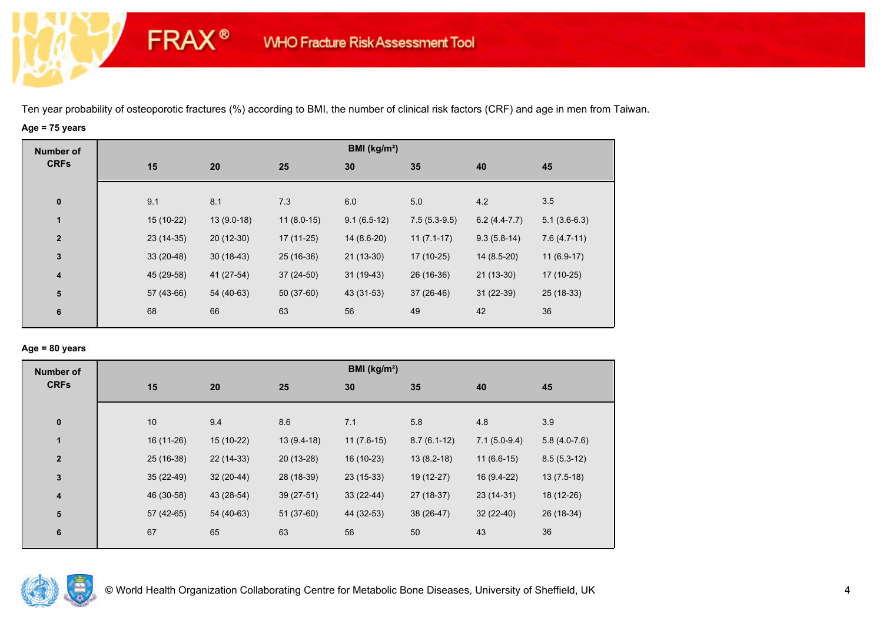# **Age = 75 years**

**FRAX®** 

| <b>Number of</b>        |             |              |              | BMI (kg/m <sup>2</sup> ) |                |                |                |
|-------------------------|-------------|--------------|--------------|--------------------------|----------------|----------------|----------------|
| <b>CRFs</b>             | 15          | 20           | 25           | 30                       | 35             | 40             | 45             |
|                         |             |              |              |                          |                |                |                |
| $\pmb{0}$               | 9.1         | 8.1          | 7.3          | 6.0                      | 5.0            | 4.2            | 3.5            |
| $\mathbf{1}$            | $15(10-22)$ | $13(9.0-18)$ | $11(8.0-15)$ | $9.1(6.5-12)$            | $7.5(5.3-9.5)$ | $6.2(4.4-7.7)$ | $5.1(3.6-6.3)$ |
| $\mathbf{2}$            | $23(14-35)$ | $20(12-30)$  | $17(11-25)$  | 14 (8.6-20)              | $11(7.1-17)$   | $9.3(5.8-14)$  | $7.6(4.7-11)$  |
| $\mathbf{3}$            | $33(20-48)$ | $30(18-43)$  | 25 (16-36)   | $21(13-30)$              | $17(10-25)$    | $14(8.5-20)$   | $11(6.9-17)$   |
| $\overline{\mathbf{4}}$ | 45 (29-58)  | 41 (27-54)   | $37(24-50)$  | $31(19-43)$              | 26 (16-36)     | $21(13-30)$    | 17 (10-25)     |
| ${\bf 5}$               | 57 (43-66)  | 54 (40-63)   | 50 (37-60)   | 43 (31-53)               | $37(26-46)$    | $31(22-39)$    | $25(18-33)$    |
| 6                       | 68          | 66           | 63           | 56                       | 49             | 42             | 36             |
|                         |             |              |              |                          |                |                |                |

## **Age = 80 years**

| <b>Number of</b>        |             |             |              | BMI (kg/m <sup>2</sup> ) |               |                |                |
|-------------------------|-------------|-------------|--------------|--------------------------|---------------|----------------|----------------|
| <b>CRFs</b>             | 15          | 20          | 25           | 30                       | 35            | 40             | 45             |
| $\pmb{0}$               | 10          | 9.4         | 8.6          | 7.1                      | 5.8           | 4.8            | 3.9            |
| 1                       | 16 (11-26)  | 15 (10-22)  | $13(9.4-18)$ | $11(7.6-15)$             | $8.7(6.1-12)$ | $7.1(5.0-9.4)$ | $5.8(4.0-7.6)$ |
| $\overline{2}$          | 25 (16-38)  | 22 (14-33)  | 20 (13-28)   | 16 (10-23)               | $13(8.2-18)$  | $11(6.6-15)$   | $8.5(5.3-12)$  |
| 3                       | $35(22-49)$ | $32(20-44)$ | 28 (18-39)   | $23(15-33)$              | 19 (12-27)    | 16 (9.4-22)    | $13(7.5-18)$   |
| $\overline{\mathbf{4}}$ | 46 (30-58)  | 43 (28-54)  | $39(27-51)$  | $33(22-44)$              | 27 (18-37)    | $23(14-31)$    | 18 (12-26)     |
| 5                       | $57(42-65)$ | 54 (40-63)  | 51 (37-60)   | 44 (32-53)               | 38 (26-47)    | $32(22-40)$    | 26 (18-34)     |
| 6                       | 67          | 65          | 63           | 56                       | 50            | 43             | 36             |